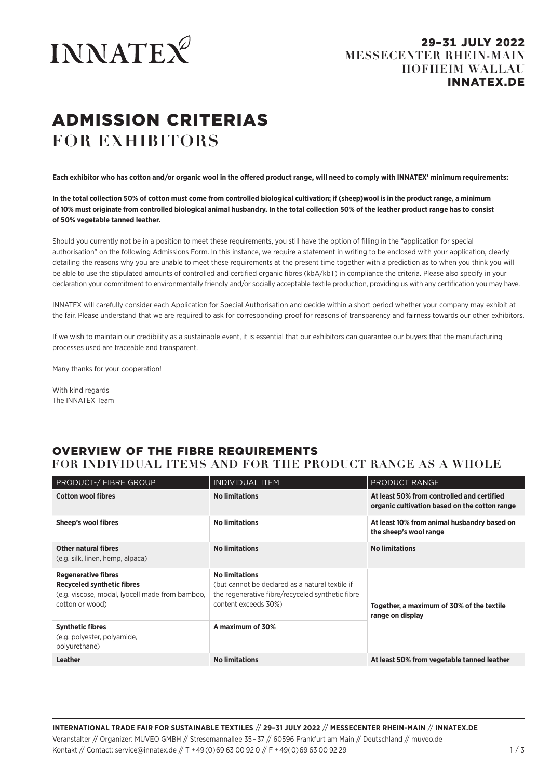

# ADMISSION CRITERIAS **FOR EXHIBITORS**

**Each exhibitor who has cotton and/or organic wool in the offered product range, will need to comply with INNATEX' minimum requirements:** 

**In the total collection 50% of cotton must come from controlled biological cultivation; if (sheep)wool is in the product range, a minimum of 10% must originate from controlled biological animal husbandry. In the total collection 50% of the leather product range has to consist of 50% vegetable tanned leather.**

Should you currently not be in a position to meet these requirements, you still have the option of filling in the "application for special authorisation" on the following Admissions Form. In this instance, we require a statement in writing to be enclosed with your application, clearly detailing the reasons why you are unable to meet these requirements at the present time together with a prediction as to when you think you will be able to use the stipulated amounts of controlled and certified organic fibres (kbA/kbT) in compliance the criteria. Please also specify in your declaration your commitment to environmentally friendly and/or socially acceptable textile production, providing us with any certification you may have.

INNATEX will carefully consider each Application for Special Authorisation and decide within a short period whether your company may exhibit at the fair. Please understand that we are required to ask for corresponding proof for reasons of transparency and fairness towards our other exhibitors.

If we wish to maintain our credibility as a sustainable event, it is essential that our exhibitors can guarantee our buyers that the manufacturing processes used are traceable and transparent.

Many thanks for your cooperation!

With kind regards The INNATEX Team

## OVERVIEW OF THE FIBRE REQUIREMENTS

### **FOR INDIVIDUAL ITEMS AND FOR THE PRODUCT RANGE AS A WHOLE**

| <b>PRODUCT-/ FIBRE GROUP</b>                                                                                                   | <b>INDIVIDUAL ITEM</b>                                                                                                                               | PRODUCT RANGE                                                                               |  |
|--------------------------------------------------------------------------------------------------------------------------------|------------------------------------------------------------------------------------------------------------------------------------------------------|---------------------------------------------------------------------------------------------|--|
| <b>Cotton wool fibres</b>                                                                                                      | <b>No limitations</b>                                                                                                                                | At least 50% from controlled and certified<br>organic cultivation based on the cotton range |  |
| Sheep's wool fibres                                                                                                            | <b>No limitations</b>                                                                                                                                | At least 10% from animal husbandry based on<br>the sheep's wool range                       |  |
| <b>Other natural fibres</b><br>(e.g. silk, linen, hemp, alpaca)                                                                | <b>No limitations</b>                                                                                                                                | <b>No limitations</b>                                                                       |  |
| <b>Regenerative fibres</b><br>Recyceled synthetic fibres<br>(e.g. viscose, modal, lyocell made from bamboo,<br>cotton or wood) | <b>No limitations</b><br>(but cannot be declared as a natural textile if<br>the regenerative fibre/recyceled synthetic fibre<br>content exceeds 30%) | Together, a maximum of 30% of the textile<br>range on display                               |  |
| <b>Synthetic fibres</b><br>(e.g. polyester, polyamide,<br>polyurethane)                                                        | A maximum of 30%                                                                                                                                     |                                                                                             |  |
| <b>Leather</b>                                                                                                                 | <b>No limitations</b>                                                                                                                                | At least 50% from vegetable tanned leather                                                  |  |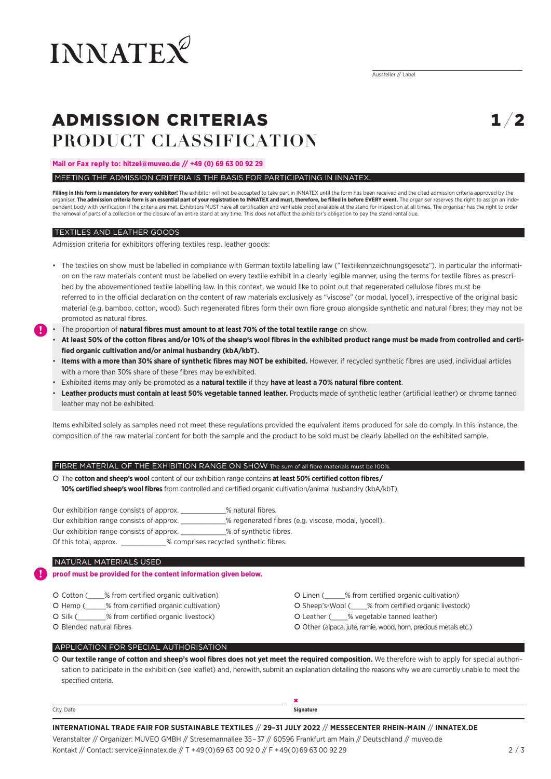

## ADMISSION CRITERIAS **PRODUCT CLASSIFICATION**

 $\mathbf{1} / \mathbf{2}$ 

#### **Mail or Fax reply to: hitzel@muveo.de // +49 (0) 69 63 00 92 29**

#### MEETING THE ADMISSION CRITERIA IS THE BASIS FOR PARTICIPATING IN INNATEX.

**Filling in this form is mandatory for every exhibitor!** The exhibitor will not be accepted to take part in INNATEX until the form has been received and the cited admission criteria approved by the organiser. **The admission criteria form is an essential part of your registration to INNATEX and must, therefore, be filled in before EVERY event.** The organiser reserves the right to assign an independent body with verification if the criteria are met. Exhibitors MUST have all certification and verifiable proof available at the stand for inspection at all times. The organiser has the right to order the removal of parts of a collection or the closure of an entire stand at any time. This does not affect the exhibitor's obligation to pay the stand rental due.

#### TEXTILES AND LEATHER GOODS

**!**

**!**

Admission criteria for exhibitors offering textiles resp. leather goods:

- The textiles on show must be labelled in compliance with German textile labelling law ("Textilkennzeichnungsgesetz"). In particular the information on the raw materials content must be labelled on every textile exhibit in a clearly legible manner, using the terms for textile fibres as prescribed by the abovementioned textile labelling law. In this context, we would like to point out that regenerated cellulose fibres must be referred to in the official declaration on the content of raw materials exclusively as "viscose" (or modal, lyocell), irrespective of the original basic material (e.g. bamboo, cotton, wood). Such regenerated fibres form their own fibre group alongside synthetic and natural fibres; they may not be promoted as natural fibres.
- The proportion of **natural fibres must amount to at least 70% of the total textile range** on show.
	- **At least 50% of the cotton fibres and/or 10% of the sheep's wool fibres in the exhibited product range must be made from controlled and certified organic cultivation and/or animal husbandry (kbA/kbT).**
	- **Items with a more than 30% share of synthetic fibres may NOT be exhibited.** However, if recycled synthetic fibres are used, individual articles with a more than 30% share of these fibres may be exhibited.
	- Exhibited items may only be promoted as a **natural textile** if they **have at least a 70% natural fibre content**.
	- **Leather products must contain at least 50% vegetable tanned leather.** Products made of synthetic leather (artificial leather) or chrome tanned leather may not be exhibited.

Items exhibited solely as samples need not meet these regulations provided the equivalent items produced for sale do comply. In this instance, the composition of the raw material content for both the sample and the product to be sold must be clearly labelled on the exhibited sample.

#### FIBRE MATERIAL OF THE EXHIBITION RANGE ON SHOW The sum of all fibre materials must be 100%.

 The **cotton and sheep's wool** content of our exhibition range contains **at least 50% certified cotton fibres/ 10% certified sheep's wool fibres** from controlled and certified organic cultivation/animal husbandry (kbA/kbT).

Our exhibition range consists of approx. \_\_\_\_\_\_\_\_\_\_\_\_% natural fibres. Our exhibition range consists of approx. \_\_\_\_\_\_\_\_\_\_\_% regenerated fibres (e.g. viscose, modal, lyocell). Our exhibition range consists of approx. \_\_\_\_\_\_\_\_\_\_\_% of synthetic fibres. Of this total, approx.  $\%$  comprises recycled synthetic fibres.

#### NATURAL MATERIALS USED

#### **proof must be provided for the content information given below.**

- O Cotton (6) % from certified organic cultivation) **C** Linen (6) % from certified organic cultivation)
- 
- 
- 
- 
- O Hemp (\_\_\_\_\_% from certified organic cultivation) Sheep's-Wool (2008) Sheep's-Wool (2009) Sheep's-Wool (3009) Sheep's-Wool (3009) Sheep's-Wool (3009) Sheep's-Wool (3009) Sheep's-Wool (3009) Sheep's-Wool (3009) Sh
- Silk (\_\_\_\_\_\_\_% from certified organic livestock) Leather (\_\_\_\_% vegetable tanned leather)
- O Blended natural fibres **C** Other (alpaca, jute, ramie, wood, horn, precious metals etc.)

#### APPLICATION FOR SPECIAL AUTHORISATION

 **Our textile range of cotton and sheep's wool fibres does not yet meet the required composition.** We therefore wish to apply for special authorisation to paticipate in the exhibition (see leaflet) and, herewith, submit an explanation detailing the reasons why we are currently unable to meet the specified criteria.

| City, Date | Signature |
|------------|-----------|

**INTERNATIONAL TRADE FAIR FOR SUSTAINABLE TEXTILES** // **29–31 JULY 2022** // **MESSECENTER RHEIN-MAIN** // **INNATEX.DE**  Veranstalter // Organizer: MUVEO GMBH // Stresemannallee 35–37 // 60596 Frankfurt am Main // Deutschland // muveo.de

Kontakt // Contact: service@innatex.de // T +49(0)69 63 00 92 0 // F +49(0)69 63 00 92 29